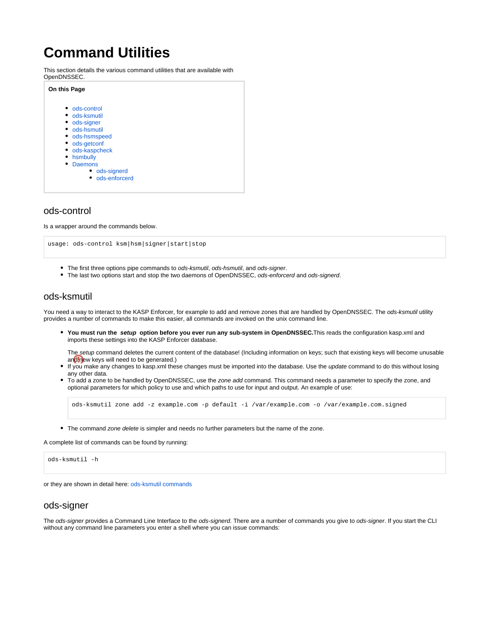# **Command Utilities**

This section details the various command utilities that are available with OpenDNSSEC.



## <span id="page-0-0"></span>ods-control

Is a wrapper around the commands below.

usage: ods-control ksm|hsm|signer|start|stop

- The first three options pipe commands to ods-ksmutil, ods-hsmutil, and ods-signer.
- The last two options start and stop the two daemons of OpenDNSSEC, ods-enforcerd and ods-signerd.

## <span id="page-0-1"></span>ods-ksmutil

You need a way to interact to the KASP Enforcer, for example to add and remove zones that are handled by OpenDNSSEC. The ods-ksmutil utility provides a number of commands to make this easier, all commands are invoked on the unix command line.

**You must run the setup option before you ever run any sub-system in OpenDNSSEC.**This reads the configuration kasp.xml and imports these settings into the KASP Enforcer database.

The setup command deletes the current content of the database! (Including information on keys; such that existing keys will become unusable and new keys will need to be generated.)

- If you make any changes to kasp.xml these changes must be imported into the database. Use the update command to do this without losing any other data.
- To add a zone to be handled by OpenDNSSEC, use the zone add command. This command needs a parameter to specify the zone, and optional parameters for which policy to use and which paths to use for input and output. An example of use:

ods-ksmutil zone add -z example.com -p default -i /var/example.com -o /var/example.com.signed

• The command zone delete is simpler and needs no further parameters but the name of the zone.

A complete list of commands can be found by running:



or they are shown in detail here: [ods-ksmutil commands](https://wiki.opendnssec.org/display/DOCS/ods-ksmutil)

#### <span id="page-0-2"></span>ods-signer

The ods-signer provides a Command Line Interface to the ods-signerd. There are a number of commands you give to ods-signer. If you start the CLI without any command line parameters you enter a shell where you can issue commands: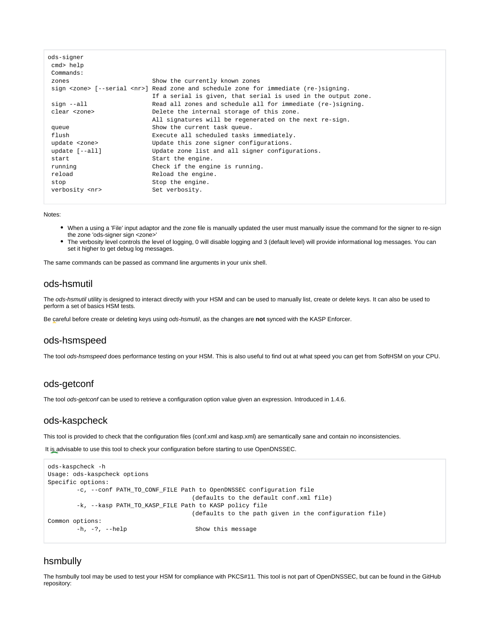| ods-signer           |                                                                                                 |
|----------------------|-------------------------------------------------------------------------------------------------|
| cmd> help            |                                                                                                 |
| Commands:            |                                                                                                 |
| zones                | Show the currently known zones                                                                  |
|                      | sign <zone> [--serial <nr>] Read zone and schedule zone for immediate (re-)signing.</nr></zone> |
|                      | If a serial is given, that serial is used in the output zone.                                   |
| sign --all           | Read all zones and schedule all for immediate (re-)signing.                                     |
| clear <zone></zone>  | Delete the internal storage of this zone.                                                       |
|                      | All signatures will be regenerated on the next re-sign.                                         |
| queue                | Show the current task queue.                                                                    |
| flush                | Execute all scheduled tasks immediately.                                                        |
| update <zone></zone> | Update this zone signer configurations.                                                         |
| update $[--all]$     | Update zone list and all signer configurations.                                                 |
| start                | Start the engine.                                                                               |
| running              | Check if the engine is running.                                                                 |
| reload               | Reload the engine.                                                                              |
| stop                 | Stop the engine.                                                                                |
| verbosity <nr></nr>  | Set verbosity.                                                                                  |
|                      |                                                                                                 |

Notes:

- When a using a 'File' input adaptor and the zone file is manually updated the user must manually issue the command for the signer to re-sign the zone 'ods-signer sign <zone>'
- The verbosity level controls the level of logging, 0 will disable logging and 3 (default level) will provide informational log messages. You can set it higher to get debug log messages.

The same commands can be passed as command line arguments in your unix shell.

## <span id="page-1-0"></span>ods-hsmutil

The ods-hsmutil utility is designed to interact directly with your HSM and can be used to manually list, create or delete keys. It can also be used to perform a set of basics HSM tests.

Be careful before create or deleting keys using ods-hsmutil, as the changes are **not** synced with the KASP Enforcer.

#### <span id="page-1-1"></span>ods-hsmspeed

The tool ods-hsmspeed does performance testing on your HSM. This is also useful to find out at what speed you can get from SoftHSM on your CPU.

## <span id="page-1-2"></span>ods-getconf

The tool ods-getconf can be used to retrieve a configuration option value given an expression. Introduced in 1.4.6.

#### <span id="page-1-3"></span>ods-kaspcheck

This tool is provided to check that the configuration files (conf.xml and kasp.xml) are semantically sane and contain no inconsistencies.

It is advisable to use this tool to check your configuration before starting to use OpenDNSSEC.

```
ods-kaspcheck -h
Usage: ods-kaspcheck options
Specific options:
        -c, --conf PATH_TO_CONF_FILE Path to OpenDNSSEC configuration file
                                      (defaults to the default conf.xml file)
        -k, --kasp PATH_TO_KASP_FILE Path to KASP policy file
                                      (defaults to the path given in the configuration file)
Common options:
       -h, -?, --help Show this message
```
## <span id="page-1-4"></span>hsmbully

The hsmbully tool may be used to test your HSM for compliance with PKCS#11. This tool is not part of OpenDNSSEC, but can be found in the GitHub repository: